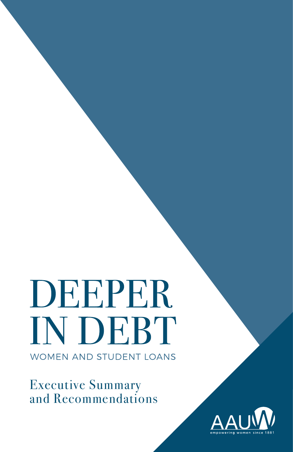DEEPER **IN DEBT WOMEN AND STUDENT LOANS** 

Executive Summary and Recommendations

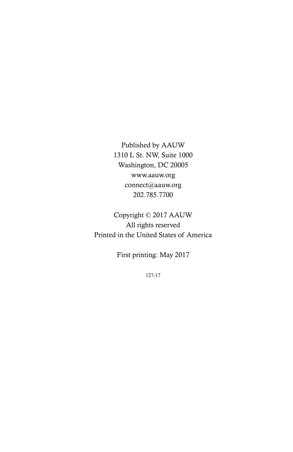Published by AAUW 1310 L St. NW, Suite 1000 Washington, DC 20005 www.aauw.org connect@aauw.org 202.785.7700

Copyright © 2017 AAUW All rights reserved Printed in the United States of America

First printing: May 2017

127-17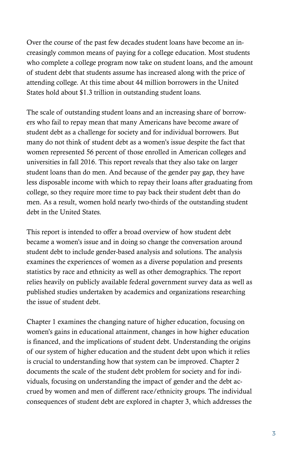Over the course of the past few decades student loans have become an increasingly common means of paying for a college education. Most students who complete a college program now take on student loans, and the amount of student debt that students assume has increased along with the price of attending college. At this time about 44 million borrowers in the United States hold about \$1.3 trillion in outstanding student loans.

The scale of outstanding student loans and an increasing share of borrowers who fail to repay mean that many Americans have become aware of student debt as a challenge for society and for individual borrowers. But many do not think of student debt as a women's issue despite the fact that women represented 56 percent of those enrolled in American colleges and universities in fall 2016. This report reveals that they also take on larger student loans than do men. And because of the gender pay gap, they have less disposable income with which to repay their loans after graduating from college, so they require more time to pay back their student debt than do men. As a result, women hold nearly two-thirds of the outstanding student debt in the United States.

This report is intended to offer a broad overview of how student debt became a women's issue and in doing so change the conversation around student debt to include gender-based analysis and solutions. The analysis examines the experiences of women as a diverse population and presents statistics by race and ethnicity as well as other demographics. The report relies heavily on publicly available federal government survey data as well as published studies undertaken by academics and organizations researching the issue of student debt.

Chapter 1 examines the changing nature of higher education, focusing on women's gains in educational attainment, changes in how higher education is financed, and the implications of student debt. Understanding the origins of our system of higher education and the student debt upon which it relies is crucial to understanding how that system can be improved. Chapter 2 documents the scale of the student debt problem for society and for individuals, focusing on understanding the impact of gender and the debt accrued by women and men of different race/ethnicity groups. The individual consequences of student debt are explored in chapter 3, which addresses the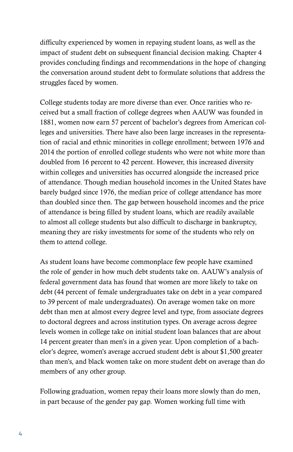difficulty experienced by women in repaying student loans, as well as the impact of student debt on subsequent financial decision making. Chapter 4 provides concluding findings and recommendations in the hope of changing the conversation around student debt to formulate solutions that address the struggles faced by women.

College students today are more diverse than ever. Once rarities who received but a small fraction of college degrees when AAUW was founded in 1881, women now earn 57 percent of bachelor's degrees from American colleges and universities. There have also been large increases in the representation of racial and ethnic minorities in college enrollment; between 1976 and 2014 the portion of enrolled college students who were not white more than doubled from 16 percent to 42 percent. However, this increased diversity within colleges and universities has occurred alongside the increased price of attendance. Though median household incomes in the United States have barely budged since 1976, the median price of college attendance has more than doubled since then. The gap between household incomes and the price of attendance is being filled by student loans, which are readily available to almost all college students but also difficult to discharge in bankruptcy, meaning they are risky investments for some of the students who rely on them to attend college.

As student loans have become commonplace few people have examined the role of gender in how much debt students take on. AAUW's analysis of federal government data has found that women are more likely to take on debt (44 percent of female undergraduates take on debt in a year compared to 39 percent of male undergraduates). On average women take on more debt than men at almost every degree level and type, from associate degrees to doctoral degrees and across institution types. On average across degree levels women in college take on initial student loan balances that are about 14 percent greater than men's in a given year. Upon completion of a bachelor's degree, women's average accrued student debt is about \$1,500 greater than men's, and black women take on more student debt on average than do members of any other group.

Following graduation, women repay their loans more slowly than do men, in part because of the gender pay gap. Women working full time with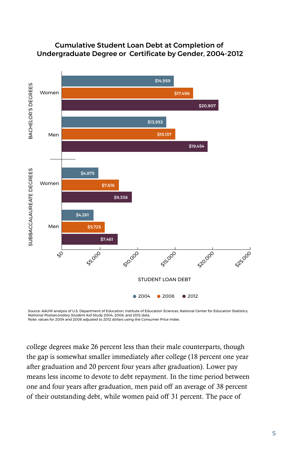

#### Cumulative Student Loan Debt at Completion of Undergraduate Degree or Certificate by Gender, 2004-2012

Source: AAUW analysis of U.S. Department of Education, Institute of Education Sciences, National Center for Education Statistics,<br>*National Postsecondary Student Aid Study* 2004, 2008, and 2012 data. Note: values for 2004 and 2008 adjusted to 2012 dollars using the Consumer Price Index.

college degrees make 26 percent less than their male counterparts, though the gap is somewhat smaller immediately after college (18 percent one year after graduation and 20 percent four years after graduation). Lower pay means less income to devote to debt repayment. In the time period between one and four years after graduation, men paid off an average of 38 percent of their outstanding debt, while women paid off 31 percent. The pace of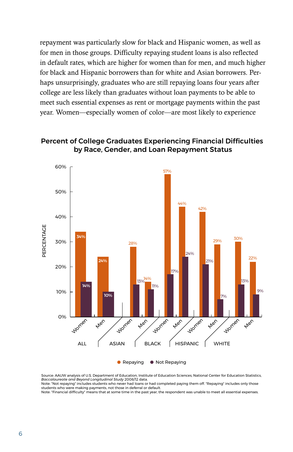repayment was particularly slow for black and Hispanic women, as well as for men in those groups. Difficulty repaying student loans is also reflected in default rates, which are higher for women than for men, and much higher for black and Hispanic borrowers than for white and Asian borrowers. Perhaps unsurprisingly, graduates who are still repaying loans four years after college are less likely than graduates without loan payments to be able to meet such essential expenses as rent or mortgage payments within the past year. Women—especially women of color—are most likely to experience

#### Percent of College Graduates Experiencing Financial Difficulties by Race, Gender, and Loan Repayment Status



Source: AAUW analysis of U.S. Department of Education, Institute of Education Sciences, National Center for Education Statistics, *Baccalaureate and Beyond Longitudinal Study* 2008/12 data. Note: "Not repaying" includes students who never had loans or had completed paying them off. "Repaying" includes only those

students who were making payments, not those in deferral or default. Note: "Financial difficulty" means that at some time in the past year, the respondent was unable to meet all essential expenses.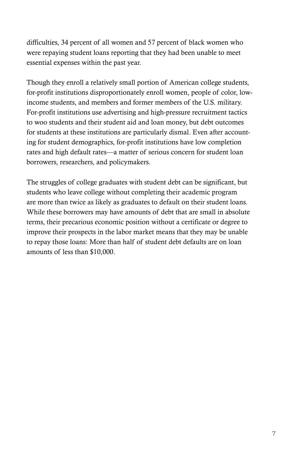difficulties, 34 percent of all women and 57 percent of black women who were repaying student loans reporting that they had been unable to meet essential expenses within the past year.

Though they enroll a relatively small portion of American college students, for-profit institutions disproportionately enroll women, people of color, lowincome students, and members and former members of the U.S. military. For-profit institutions use advertising and high-pressure recruitment tactics to woo students and their student aid and loan money, but debt outcomes for students at these institutions are particularly dismal. Even after accounting for student demographics, for-profit institutions have low completion rates and high default rates—a matter of serious concern for student loan borrowers, researchers, and policymakers.

The struggles of college graduates with student debt can be significant, but students who leave college without completing their academic program are more than twice as likely as graduates to default on their student loans. While these borrowers may have amounts of debt that are small in absolute terms, their precarious economic position without a certificate or degree to improve their prospects in the labor market means that they may be unable to repay those loans: More than half of student debt defaults are on loan amounts of less than \$10,000.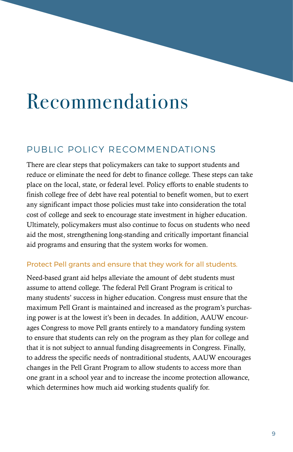# Recommendations

# PUBLIC POLICY RECOMMENDATIONS

There are clear steps that policymakers can take to support students and reduce or eliminate the need for debt to finance college. These steps can take place on the local, state, or federal level. Policy efforts to enable students to finish college free of debt have real potential to benefit women, but to exert any significant impact those policies must take into consideration the total cost of college and seek to encourage state investment in higher education. Ultimately, policymakers must also continue to focus on students who need aid the most, strengthening long-standing and critically important financial aid programs and ensuring that the system works for women.

# Protect Pell grants and ensure that they work for all students.

Need-based grant aid helps alleviate the amount of debt students must assume to attend college. The federal Pell Grant Program is critical to many students' success in higher education. Congress must ensure that the maximum Pell Grant is maintained and increased as the program's purchasing power is at the lowest it's been in decades. In addition, AAUW encourages Congress to move Pell grants entirely to a mandatory funding system to ensure that students can rely on the program as they plan for college and that it is not subject to annual funding disagreements in Congress. Finally, to address the specific needs of nontraditional students, AAUW encourages changes in the Pell Grant Program to allow students to access more than one grant in a school year and to increase the income protection allowance, which determines how much aid working students qualify for.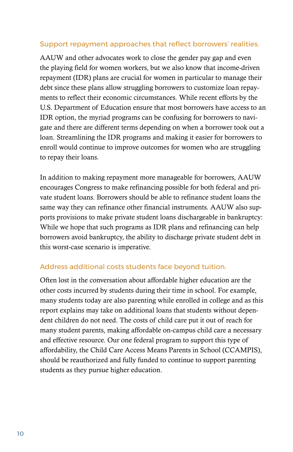## Support repayment approaches that reflect borrowers' realities.

AAUW and other advocates work to close the gender pay gap and even the playing field for women workers, but we also know that income-driven repayment (IDR) plans are crucial for women in particular to manage their debt since these plans allow struggling borrowers to customize loan repayments to reflect their economic circumstances. While recent efforts by the U.S. Department of Education ensure that most borrowers have access to an IDR option, the myriad programs can be confusing for borrowers to navigate and there are different terms depending on when a borrower took out a loan. Streamlining the IDR programs and making it easier for borrowers to enroll would continue to improve outcomes for women who are struggling to repay their loans.

In addition to making repayment more manageable for borrowers, AAUW encourages Congress to make refinancing possible for both federal and private student loans. Borrowers should be able to refinance student loans the same way they can refinance other financial instruments. AAUW also supports provisions to make private student loans dischargeable in bankruptcy: While we hope that such programs as IDR plans and refinancing can help borrowers avoid bankruptcy, the ability to discharge private student debt in this worst-case scenario is imperative.

# Address additional costs students face beyond tuition.

Often lost in the conversation about affordable higher education are the other costs incurred by students during their time in school. For example, many students today are also parenting while enrolled in college and as this report explains may take on additional loans that students without dependent children do not need. The costs of child care put it out of reach for many student parents, making affordable on-campus child care a necessary and effective resource. Our one federal program to support this type of affordability, the Child Care Access Means Parents in School (CCAMPIS), should be reauthorized and fully funded to continue to support parenting students as they pursue higher education.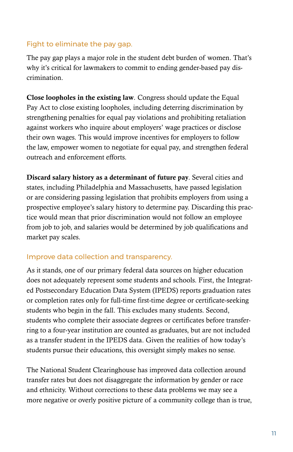# Fight to eliminate the pay gap.

The pay gap plays a major role in the student debt burden of women. That's why it's critical for lawmakers to commit to ending gender-based pay discrimination.

Close loopholes in the existing law*.* Congress should update the Equal Pay Act to close existing loopholes, including deterring discrimination by strengthening penalties for equal pay violations and prohibiting retaliation against workers who inquire about employers' wage practices or disclose their own wages. This would improve incentives for employers to follow the law, empower women to negotiate for equal pay, and strengthen federal outreach and enforcement efforts.

Discard salary history as a determinant of future pay*.* Several cities and states, including Philadelphia and Massachusetts, have passed legislation or are considering passing legislation that prohibits employers from using a prospective employee's salary history to determine pay. Discarding this practice would mean that prior discrimination would not follow an employee from job to job, and salaries would be determined by job qualifications and market pay scales.

#### Improve data collection and transparency.

As it stands, one of our primary federal data sources on higher education does not adequately represent some students and schools. First, the Integrated Postsecondary Education Data System (IPEDS) reports graduation rates or completion rates only for full-time first-time degree or certificate-seeking students who begin in the fall. This excludes many students. Second, students who complete their associate degrees or certificates before transferring to a four-year institution are counted as graduates, but are not included as a transfer student in the IPEDS data. Given the realities of how today's students pursue their educations, this oversight simply makes no sense.

The National Student Clearinghouse has improved data collection around transfer rates but does not disaggregate the information by gender or race and ethnicity. Without corrections to these data problems we may see a more negative or overly positive picture of a community college than is true,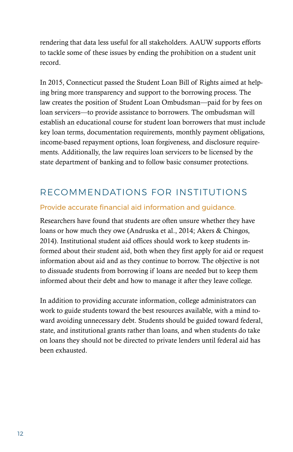rendering that data less useful for all stakeholders. AAUW supports efforts to tackle some of these issues by ending the prohibition on a student unit record.

In 2015, Connecticut passed the Student Loan Bill of Rights aimed at helping bring more transparency and support to the borrowing process. The law creates the position of Student Loan Ombudsman—paid for by fees on loan servicers—to provide assistance to borrowers. The ombudsman will establish an educational course for student loan borrowers that must include key loan terms, documentation requirements, monthly payment obligations, income-based repayment options, loan forgiveness, and disclosure requirements. Additionally, the law requires loan servicers to be licensed by the state department of banking and to follow basic consumer protections.

# RECOMMENDATIONS FOR INSTITUTIONS

# Provide accurate financial aid information and guidance.

Researchers have found that students are often unsure whether they have loans or how much they owe (Andruska et al., 2014; Akers & Chingos, 2014). Institutional student aid offices should work to keep students informed about their student aid, both when they first apply for aid or request information about aid and as they continue to borrow. The objective is not to dissuade students from borrowing if loans are needed but to keep them informed about their debt and how to manage it after they leave college.

In addition to providing accurate information, college administrators can work to guide students toward the best resources available, with a mind toward avoiding unnecessary debt. Students should be guided toward federal, state, and institutional grants rather than loans, and when students do take on loans they should not be directed to private lenders until federal aid has been exhausted.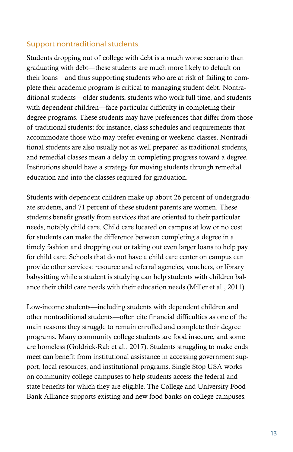#### Support nontraditional students.

Students dropping out of college with debt is a much worse scenario than graduating with debt—these students are much more likely to default on their loans—and thus supporting students who are at risk of failing to complete their academic program is critical to managing student debt. Nontraditional students—older students, students who work full time, and students with dependent children—face particular difficulty in completing their degree programs. These students may have preferences that differ from those of traditional students: for instance, class schedules and requirements that accommodate those who may prefer evening or weekend classes. Nontraditional students are also usually not as well prepared as traditional students, and remedial classes mean a delay in completing progress toward a degree. Institutions should have a strategy for moving students through remedial education and into the classes required for graduation.

Students with dependent children make up about 26 percent of undergraduate students, and 71 percent of these student parents are women. These students benefit greatly from services that are oriented to their particular needs, notably child care. Child care located on campus at low or no cost for students can make the difference between completing a degree in a timely fashion and dropping out or taking out even larger loans to help pay for child care. Schools that do not have a child care center on campus can provide other services: resource and referral agencies, vouchers, or library babysitting while a student is studying can help students with children balance their child care needs with their education needs (Miller et al., 2011).

Low-income students—including students with dependent children and other nontraditional students—often cite financial difficulties as one of the main reasons they struggle to remain enrolled and complete their degree programs. Many community college students are food insecure, and some are homeless (Goldrick-Rab et al., 2017). Students struggling to make ends meet can benefit from institutional assistance in accessing government support, local resources, and institutional programs. Single Stop USA works on community college campuses to help students access the federal and state benefits for which they are eligible. The College and University Food Bank Alliance supports existing and new food banks on college campuses.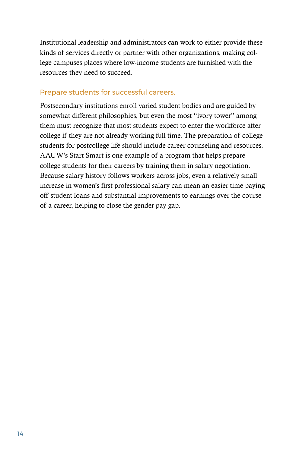Institutional leadership and administrators can work to either provide these kinds of services directly or partner with other organizations, making college campuses places where low-income students are furnished with the resources they need to succeed.

## Prepare students for successful careers.

Postsecondary institutions enroll varied student bodies and are guided by somewhat different philosophies, but even the most "ivory tower" among them must recognize that most students expect to enter the workforce after college if they are not already working full time. The preparation of college students for postcollege life should include career counseling and resources. AAUW's Start Smart is one example of a program that helps prepare college students for their careers by training them in salary negotiation. Because salary history follows workers across jobs, even a relatively small increase in women's first professional salary can mean an easier time paying off student loans and substantial improvements to earnings over the course of a career, helping to close the gender pay gap.